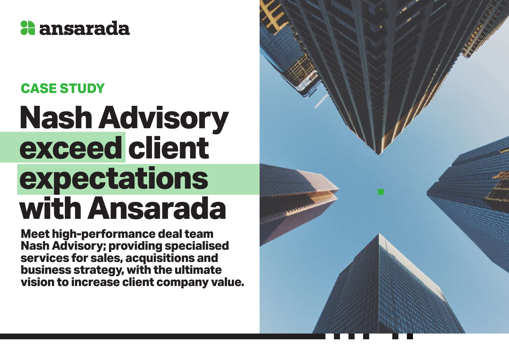

### **CASE STUDY**

# **Nash Advisory exceed client expectations with Ansarada**

**Meet high-performance deal team Nash Advisory; providing specialised services for sales, acquisitions and business strategy, with the ultimate vision to increase client company value.**

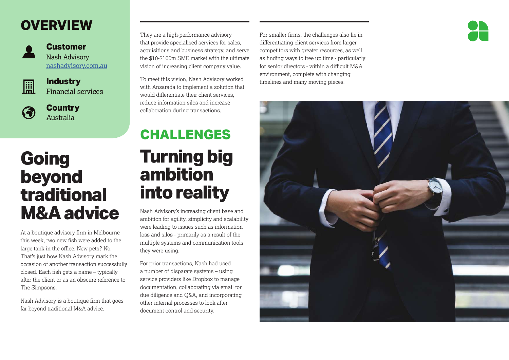### **OVERVIEW**



#### **Customer** Nash Advisory [nashadvisory.com.au](http://nashadvisory.com.au)



### **Industry**

Financial services

**Country** Australia

## **Going beyond traditional M&A advice**

At a boutique advisory firm in Melbourne this week, two new fish were added to the large tank in the office. New pets? No. That's just how Nash Advisory mark the occasion of another transaction successfully closed. Each fish gets a name – typically after the client or as an obscure reference to The Simpsons.

Nash Advisory is a boutique firm that goes far beyond traditional M&A advice.

#### They are a high-performance advisory that provide specialised services for sales, acquisitions and business strategy, and serve the \$10-\$100m SME market with the ultimate vision of increasing client company value.

To meet this vision, Nash Advisory worked with Ansarada to implement a solution that would differentiate their client services, reduce information silos and increase collaboration during transactions.

### **Turning big ambition into reality CHALLENGES**

Nash Advisory's increasing client base and ambition for agility, simplicity and scalability were leading to issues such as information loss and silos - primarily as a result of the multiple systems and communication tools they were using.

For prior transactions, Nash had used a number of disparate systems – using service providers like Dropbox to manage documentation, collaborating via email for due diligence and Q&A, and incorporating other internal processes to look after document control and security.

For smaller firms, the challenges also lie in differentiating client services from larger competitors with greater resources, as well as finding ways to free up time - particularly for senior directors - within a difficult M&A environment, complete with changing timelines and many moving pieces.



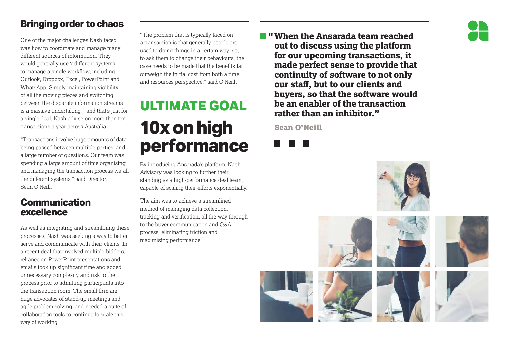### **Bringing order to chaos**

One of the major challenges Nash faced was how to coordinate and manage many different sources of information. They would generally use 7 different systems to manage a single workflow, including Outlook, Dropbox, Excel, PowerPoint and WhatsApp. Simply maintaining visibility of all the moving pieces and switching between the disparate information streams is a massive undertaking – and that's just for a single deal. Nash advise on more than ten transactions a year across Australia.

"Transactions involve huge amounts of data being passed between multiple parties, and a large number of questions. Our team was spending a large amount of time organising and managing the transaction process via all the different systems," said Director, Sean O'Neill.

### **Communication excellence**

As well as integrating and streamlining these processes, Nash was seeking a way to better serve and communicate with their clients. In a recent deal that involved multiple bidders, reliance on PowerPoint presentations and emails took up significant time and added unnecessary complexity and risk to the process prior to admitting participants into the transaction room. The small firm are huge advocates of stand-up meetings and agile problem solving, and needed a suite of collaboration tools to continue to scale this way of working.

"The problem that is typically faced on a transaction is that generally people are used to doing things in a certain way; so, to ask them to change their behaviours, the case needs to be made that the benefits far outweigh the initial cost from both a time and resources perspective," said O'Neill.

### **ULTIMATE GOAL 10x on high performance**

By introducing Ansarada's platform, Nash Advisory was looking to further their standing as a high-performance deal team, capable of scaling their efforts exponentially.

The aim was to achieve a streamlined method of managing data collection, tracking and verification, all the way through to the buyer communication and Q&A process, eliminating friction and maximising performance.

**"When the Ansarada team reached out to discuss using the platform for our upcoming transactions, it made perfect sense to provide that continuity of software to not only our staff, but to our clients and buyers, so that the software would be an enabler of the transaction rather than an inhibitor."**

Sean O'Neill



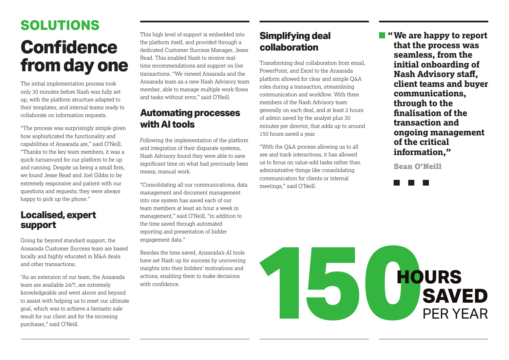# **Confidence from day one SOLUTIONS**

The initial implementation process took only 30 minutes before Nash was fully set up, with the platform structure adapted to their templates, and internal teams ready to collaborate on information requests.

"The process was surprisingly simple given how sophisticated the functionality and capabilities of Ansarada are," said O'Neill. "Thanks to the key team members, it was a quick turnaround for our platform to be up and running. Despite us being a small firm, we found Jesse Read and Joel Gibbs to be extremely responsive and patient with our questions and requests; they were always happy to pick up the phone."

#### **Localised, expert support**

Going far beyond standard support, the Ansarada Customer Success team are based locally and highly educated in M&A deals and other transactions.

"As an extension of our team, the Ansarada team are available 24/7, are extremely knowledgeable and went above and beyond to assist with helping us to meet our ultimate goal, which was to achieve a fantastic sale result for our client and for the incoming purchaser," said O'Neill.

This high level of support is embedded into the platform itself, and provided through a dedicated Customer Success Manager, Jesse Read. This enabled Nash to receive realtime recommendations and support on live transactions. "We viewed Ansarada and the Ansarada team as a new Nash Advisory team member, able to manage multiple work flows and tasks without error," said O'Neill.

### **Automating processes with AI tools**

Following the implementation of the platform and integration of their disparate systems, Nash Advisory found they were able to save significant time on what had previously been messy, manual work.

"Consolidating all our communications, data management and document management into one system has saved each of our team members at least an hour a week in management," said O'Neill, "in addition to the time saved through automated reporting and presentation of bidder engagement data."

Besides the time saved, Ansarada's AI tools have set Nash up for success by uncovering insights into their bidders' motivations and actions, enabling them to make decisions with confidence

### **Simplifying deal collaboration**

Transforming deal collaboration from email, PowerPoint, and Excel to the Ansarada platform allowed for clear and simple Q&A roles during a transaction, streamlining communication and workflow. With three members of the Nash Advisory team generally on each deal, and at least 2 hours of admin saved by the analyst plus 30 minutes per director, that adds up to around 150 hours saved a year.

"With the Q&A process allowing us to all see and track interactions, it has allowed us to focus on value-add tasks rather than administrative things like consolidating communication for clients or internal meetings," said O'Neill.

**"We are happy to report that the process was seamless, from the initial onboarding of Nash Advisory staff, client teams and buyer communications, through to the finalisation of the transaction and ongoing management of the critical information,"**

Sean O'Neill



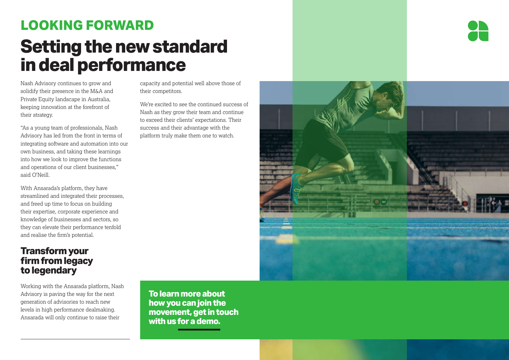### **Setting the new standard in deal performance LOOKING FORWARD**

Nash Advisory continues to grow and solidify their presence in the M&A and Private Equity landscape in Australia, keeping innovation at the forefront of their strategy.

"As a young team of professionals, Nash Advisory has led from the front in terms of integrating software and automation into our own business, and taking these learnings into how we look to improve the functions and operations of our client businesses," said O'Neill.

With Ansarada's platform, they have streamlined and integrated their processes, and freed up time to focus on building their expertise, corporate experience and knowledge of businesses and sectors, so they can elevate their performance tenfold and realise the firm's potential.

#### **Transform your firm from legacy to legendary**

Working with the Ansarada platform, Nash Advisory is paving the way for the next generation of advisories to reach new levels in high performance dealmaking. Ansarada will only continue to raise their

capacity and potential well above those of their competitors.

We're excited to see the continued success of Nash as they grow their team and continue to exceed their clients' expectations. Their success and their advantage with the platform truly make them one to watch.

**To learn more about how you can join the movement, get in touch with us for a demo.**